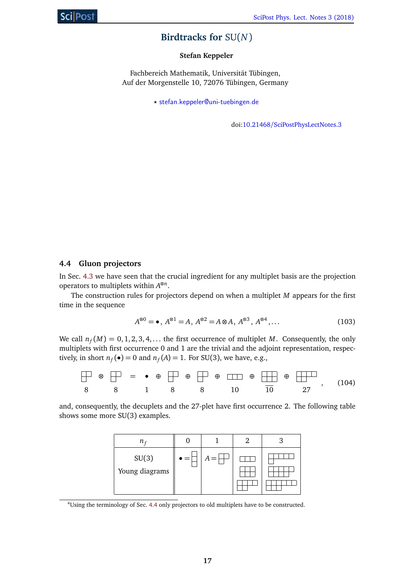## **Birdtracks for** SU(*N*)

#### **Stefan Keppeler**

Fachbereich Mathematik, Universität Tübingen, Auf der Morgenstelle 10, 72076 Tübingen, Germany

*?* stefan.keppeler@uni-tuebingen.de

doi:10.21468/SciPostPhysLectNotes.3

#### **4.4 Gluon projectors**

In Sec. 4.3 we have seen that the crucial ingredient for any multiplet basis are the projection operators to multiplets within *A* ⊗*n* .

The construction rules for projectors depend on when a multiplet *M* appears for the first time in the sequence

$$
A^{\otimes 0} = \bullet, A^{\otimes 1} = A, A^{\otimes 2} = A \otimes A, A^{\otimes 3}, A^{\otimes 4}, \dots
$$
 (103)

We call  $n_f(M) = 0, 1, 2, 3, 4, \ldots$  the first occurrence of multiplet M. Consequently, the only multiplets with first occurrence 0 and 1 are the trivial and the adjoint representation, respectively, in short  $n_f(\bullet) = 0$  and  $n_f(A) = 1$ . For SU(3), we have, e.g.,

$$
\begin{array}{|c|ccccccccccc|}\hline \multicolumn{3}{c|}{\otimes} & \multicolumn{3}{c|}{\uparrow} & = & \bullet & \oplus & \multicolumn{3}{c|}{\uparrow} & \oplus & \multicolumn{3}{c|}{\uparrow} & \oplus & \multicolumn{3}{c|}{\uparrow} & \oplus & \multicolumn{3}{c|}{\uparrow} & \oplus & \multicolumn{3}{c|}{\uparrow} & \oplus & \multicolumn{3}{c|}{\uparrow} & \oplus & \multicolumn{3}{c|}{\uparrow} & \oplus & \multicolumn{3}{c|}{\uparrow} & \oplus & \multicolumn{3}{c|}{\uparrow} & \oplus & \multicolumn{3}{c|}{\uparrow} & \oplus & \multicolumn{3}{c|}{\uparrow} & \oplus & \multicolumn{3}{c|}{\uparrow} & \oplus & \multicolumn{3}{c|}{\uparrow} & \oplus & \multicolumn{3}{c|}{\uparrow} & \oplus & \multicolumn{3}{c|}{\uparrow} & \oplus & \multicolumn{3}{c|}{\uparrow} & \oplus & \multicolumn{3}{c|}{\uparrow} & \oplus & \multicolumn{3}{c|}{\uparrow} & \oplus & \multicolumn{3}{c|}{\uparrow} & \oplus & \multicolumn{3}{c|}{\uparrow} & \oplus & \multicolumn{3}{c|}{\uparrow} & \oplus & \multicolumn{3}{c|}{\uparrow} & \oplus & \multicolumn{3}{c|}{\uparrow} & \oplus & \multicolumn{3}{c|}{\uparrow} & \oplus & \multicolumn{3}{c|}{\uparrow} & \oplus & \multicolumn{3}{c|}{\uparrow} & \oplus & \multicolumn{3}{c|}{\uparrow} & \oplus & \multicolumn{3}{c|}{\uparrow} & \oplus & \multicolumn{3}{c|}{\uparrow} & \oplus & \multicolumn{3}{c|}{\uparrow} & \oplus & \multicolumn{3}{c|}{\uparrow} & \oplus & \multicolumn{3}{c|}{\uparrow} & \oplus & \multicolumn{3}{c|}{\uparrow} & \oplus & \multicolumn{3}{c|}{\uparrow} & \oplus & \multicolumn{3}{c|}{\uparrow} & \oplus & \multicolumn{3}{c|}{\uparrow} & \oplus & \multicolumn{3}{c|}{\uparrow} & \oplus & \multic
$$

and, consequently, the decuplets and the 27-plet have first occurrence 2. The following table shows some more SU(3) examples.

| $n \epsilon$            |     |       |  |
|-------------------------|-----|-------|--|
| SU(3)<br>Young diagrams | $=$ | $A =$ |  |

<sup>4</sup>Using the terminology of Sec. 4.4 only projectors to old multiplets have to be constructed.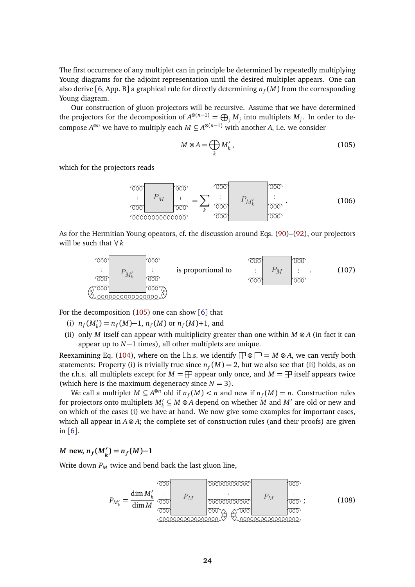The first occurrence of any multiplet can in principle be determined by repeatedly multiplying Young diagrams for the adjoint representation until the desired multiplet appears. One can also derive [6, App. B] a graphical rule for directly determining  $n_f(M)$  from the corresponding Young diagram.

Our construction of gluon projectors will be recursive. Assume that we have determined the projectors for the decomposition of  $A^{\otimes (n-1)} = \bigoplus_j M_j$  into multiplets  $M_j$ . In order to decompose  $A^{\otimes n}$  we have to multiply each  $M \subseteq A^{\otimes (n-1)}$  with another *A*, i.e. we consider

<span id="page-1-0"></span>
$$
M \otimes A = \bigoplus_{k} M'_{k},\tag{105}
$$

which for the projectors reads

$$
\underbrace{\begin{array}{c}\n\text{odd} \\
\text{odd} \\
\text{odd}\n\end{array}}_{\n\text{odd}} P_M \underbrace{\begin{array}{c}\n\text{odd} \\
\text{odd} \\
\text{odd}\n\end{array}}_{\n\text{odd}} = \sum_k \underbrace{\begin{array}{c}\n\text{odd} \\
\text{odd} \\
\text{odd}\n\end{array}}_{\n\text{odd}} P_{M'_k} \underbrace{\begin{array}{c}\n\text{odd} \\
\text{odd} \\
\text{odd}\n\end{array}}_{\n\text{odd}}.
$$
\n(106)

As for the Hermitian Young opeators, cf. the discussion around Eqs. (90)–(92), our projectors will be such that ∀*k*



For the decomposition  $(105)$  one can show  $\lceil 6 \rceil$  that

- (i)  $n_f(M'_k) = n_f(M) 1$ ,  $n_f(M)$  or  $n_f(M) + 1$ , and
- (ii) only *M* itself can appear with multiplicity greater than one within *M* ⊗ *A* (in fact it can appear up to *N*−1 times), all other multiplets are unique.

Reexamining Eq. (104), where on the l.h.s. we identify  $\Box \otimes \Box = M \otimes A$ , we can verify both statements: Property (i) is trivially true since  $n_f(M) = 2$ , but we also see that (ii) holds, as on the r.h.s. all multiplets except for  $M = \Box$  appear only once, and  $M = \Box$  itself appears twice (which here is the maximum degeneracy since  $N = 3$ ).

We call a multiplet  $M \subseteq A^{\otimes n}$  old if  $n_f(M) < n$  and new if  $n_f(M) = n$ . Construction rules for projectors onto multiplets  $M'_k \subseteq M \otimes A$  depend on whether  $M$  and  $M'$  are old or new and on which of the cases (i) we have at hand. We now give some examples for important cases, which all appear in *A* ⊗ *A*; the complete set of construction rules (and their proofs) are given in [6].

*M* new,  $n_f(M'_k) = n_f(M) - 1$ 

Write down  $P_M$  twice and bend back the last gluon line,

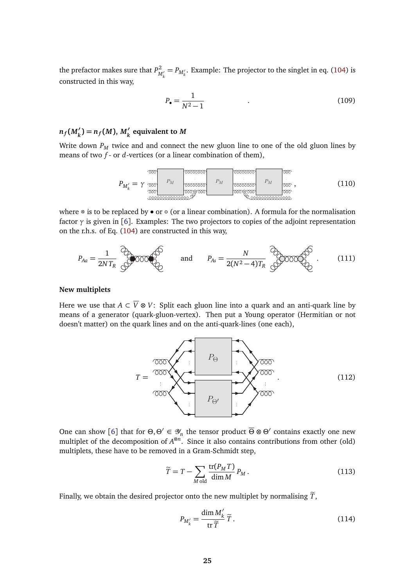the prefactor makes sure that  $P_{M'_k}^2 = P_{M'_k}$ . Example: The projector to the singlet in eq. (104) is constructed in this way,

$$
P_{\bullet} = \frac{1}{N^2 - 1} \tag{109}
$$

# $n_f(M'_k) = n_f(M)$ ,  $M'_k$  equivalent to  $M$

Write down  $P_M$  twice and and connect the new gluon line to one of the old gluon lines by means of two *f* - or *d*-vertices (or a linear combination of them),

$$
P_{M'_{k}} = \gamma \underbrace{\text{pos} \quad \text{pos} \quad \text{pos} \quad \text{pos} \quad \text{pos} \quad \text{pos} \quad \text{pos} \quad \text{pos} \quad \text{pos} \quad \text{pos} \quad \text{pos} \quad \text{pos} \quad \text{pos} \quad \text{pos} \quad \text{pos} \quad \text{pos} \quad \text{pos} \quad \text{pos} \quad \text{pos} \quad \text{pos} \quad \text{pos} \quad \text{pos} \quad \text{pos} \quad \text{pos} \quad \text{pos} \quad \text{pos} \quad \text{pos} \quad \text{pos} \quad \text{pos} \quad \text{pos} \quad \text{pos} \quad \text{pos} \quad \text{pos} \quad \text{pos} \quad \text{pos} \quad \text{pos} \quad \text{pos} \quad \text{pos} \quad \text{pos} \quad \text{pos} \quad \text{pos} \quad \text{pos} \quad \text{pos} \quad \text{pos} \quad \text{pos} \quad \text{pos} \quad \text{pos} \quad \text{pos} \quad \text{pos} \quad \text{pos} \quad \text{pos} \quad \text{pos} \quad \text{pos} \quad \text{pos} \quad \text{pos} \quad \text{pos} \quad \text{pos} \quad \text{pos} \quad \text{pos} \quad \text{pos} \quad \text{pos} \quad \text{pos} \quad \text{pos} \quad \text{pos} \quad \text{pos} \quad \text{pos} \quad \text{pos} \quad \text{pos} \quad \text{pos} \quad \text{pos} \quad \text{pos} \quad \text{pos} \quad \text{pos} \quad \text{pos} \quad \text{pos} \quad \text{pos} \quad \text{pos} \quad \text{pos} \quad \text{pos} \quad \text{pos} \quad \text{pos} \quad \text{pos} \quad \text{pos} \quad \text{pos} \quad \text{pos} \quad \text{pos} \quad \text{pos} \quad \text{pos} \quad \text{pos} \quad \text{pos} \quad \text{pos} \quad \text{pos} \quad \text{pos} \quad \text{pos} \quad \text{pos} \quad \text{pos} \quad \text{pos} \quad \text{pos} \quad \text{pos} \quad \text{pos} \quad \text{pos} \quad \text{pos} \quad \text{pos} \quad \text{pos} \quad \text{pos} \quad \text{pos} \quad \text{pos
$$

where ⊗ is to be replaced by  $\bullet$  or  $\circ$  (or a linear combination). A formula for the normalisation factor  $\gamma$  is given in [6]. Examples: The two projectors to copies of the adjoint representation on the r.h.s. of Eq. (104) are constructed in this way,

$$
P_{Aa} = \frac{1}{2NT_R} \bigotimes_{i=1}^{N} O(1000 \bigotimes_{i=1}^{N} \text{ and } P_{As} = \frac{N}{2(N^2 - 4)T_R} \bigotimes_{i=1}^{N} O(1000 \bigotimes_{i=1}^{N} \text{ .} (111)
$$

#### **New multiplets**

Here we use that  $A \subset \overline{V} \otimes V$ : Split each gluon line into a quark and an anti-quark line by means of a generator (quark-gluon-vertex). Then put a Young operator (Hermitian or not doesn't matter) on the quark lines and on the anti-quark-lines (one each),



One can show [6] that for  $\Theta$ ,  $\Theta' \in \mathcal{Y}_n$  the tensor product  $\overline{\Theta} \otimes \Theta'$  contains exactly one new multiplet of the decomposition of  $A^{\otimes n}$ . Since it also contains contributions from other (old) multiplets, these have to be removed in a Gram-Schmidt step,

$$
\widetilde{T} = T - \sum_{M \text{ old}} \frac{\text{tr}(P_M T)}{\dim M} P_M.
$$
\n(113)

Finally, we obtain the desired projector onto the new multiplet by normalising  $\widetilde{T}$ ,

$$
P_{M'_k} = \frac{\dim M'_k}{\operatorname{tr} \widetilde{T}} \widetilde{T} \,. \tag{114}
$$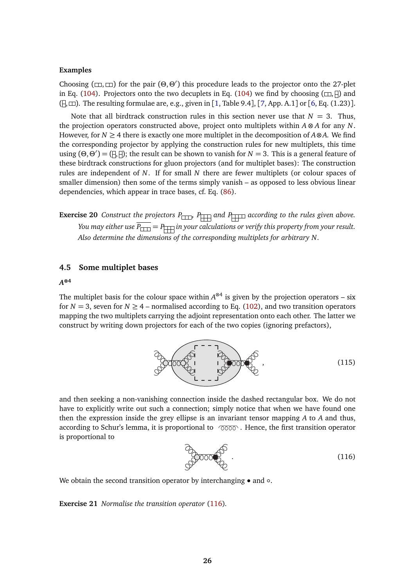#### **Examples**

Choosing ( $\Box$ ,  $\Box$ ) for the pair ( $\Theta$ , $\Theta'$ ) this procedure leads to the projector onto the 27-plet in Eq. (104). Projectors onto the two decuplets in Eq. (104) we find by choosing  $(\Box, \Box)$  and  $($  $\Box$  $)$ . The resulting formulae are, e.g., given in [1, Table 9.4], [7, App. A.1] or [6, Eq. (1.23)].

Note that all birdtrack construction rules in this section never use that  $N = 3$ . Thus, the projection operators constructed above, project onto multiplets within *A* ⊗ *A* for any *N*. However, for  $N \geq 4$  there is exactly one more multiplet in the decomposition of  $A \otimes A$ . We find the corresponding projector by applying the construction rules for new multiplets, this time using  $(\Theta, \Theta') = (\Box, \Box)$ ; the result can be shown to vanish for *N* = 3. This is a general feature of these birdtrack constructions for gluon projectors (and for multiplet bases): The construction rules are independent of *N*. If for small *N* there are fewer multiplets (or colour spaces of smaller dimension) then some of the terms simply vanish – as opposed to less obvious linear dependencies, which appear in trace bases, cf. Eq. (86).

**Exercise 20** *Construct the projectors*  $P_{\Box\Box}$ ,  $P_{\Box\Box}$  *and*  $P_{\Box\Box}$  *according to the rules given above. You may either use*  $\overline{P_{\square \square}} = P_{\square \square}$  *in your calculations or verify this property from your result. Also determine the dimensions of the corresponding multiplets for arbitrary N.*

#### **4.5 Some multiplet bases**

## *A* **⊗4**

The multiplet basis for the colour space within  $A^{\otimes 4}$  is given by the projection operators – six for  $N = 3$ , seven for  $N \ge 4$  – normalised according to Eq. (102), and two transition operators mapping the two multiplets carrying the adjoint representation onto each other. The latter we construct by writing down projectors for each of the two copies (ignoring prefactors),



<span id="page-3-0"></span>and then seeking a non-vanishing connection inside the dashed rectangular box. We do not have to explicitly write out such a connection; simply notice that when we have found one then the expression inside the grey ellipse is an invariant tensor mapping *A* to *A* and thus, according to Schur's lemma, it is proportional to  $\sigma$   $\sigma$  $\sigma$ . Hence, the first transition operator is proportional to

$$
\begin{array}{c}\n\circ \\
\circ \\
\circ\n\end{array}
$$
\n(116)

We obtain the second transition operator by interchanging • and ∘.

**Exercise 21** *Normalise the transition operator* [\(116\)](#page-3-0)*.*